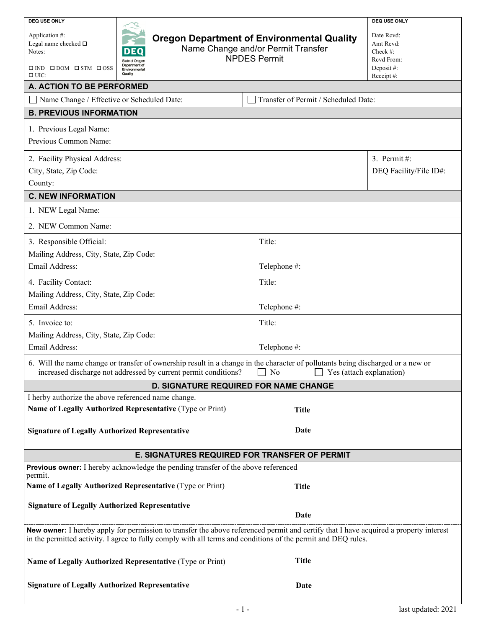| <b>DEQ USE ONLY</b>                                                                                                                                                                                                                  |                                                                                         | <b>DEQ USE ONLY</b>    |  |  |  |  |
|--------------------------------------------------------------------------------------------------------------------------------------------------------------------------------------------------------------------------------------|-----------------------------------------------------------------------------------------|------------------------|--|--|--|--|
| Application #:                                                                                                                                                                                                                       | Date Rcvd:                                                                              |                        |  |  |  |  |
| Legal name checked □<br>D<br>EΟ<br>Notes:                                                                                                                                                                                            | <b>Oregon Department of Environmental Quality</b><br>Name Change and/or Permit Transfer |                        |  |  |  |  |
| State of Oregon                                                                                                                                                                                                                      | <b>NPDES Permit</b>                                                                     |                        |  |  |  |  |
| Department of<br>$\square$ IND $\square$ DOM $\square$ STM $\square$ OSS<br>Environmental<br>Quality                                                                                                                                 |                                                                                         |                        |  |  |  |  |
| $\Box$ UIC:<br>A. ACTION TO BE PERFORMED                                                                                                                                                                                             |                                                                                         | Receipt#:              |  |  |  |  |
| Name Change / Effective or Scheduled Date:<br>Transfer of Permit / Scheduled Date:                                                                                                                                                   |                                                                                         |                        |  |  |  |  |
| <b>B. PREVIOUS INFORMATION</b>                                                                                                                                                                                                       |                                                                                         |                        |  |  |  |  |
|                                                                                                                                                                                                                                      |                                                                                         |                        |  |  |  |  |
| 1. Previous Legal Name:                                                                                                                                                                                                              |                                                                                         |                        |  |  |  |  |
| Previous Common Name:                                                                                                                                                                                                                |                                                                                         |                        |  |  |  |  |
| 2. Facility Physical Address:                                                                                                                                                                                                        |                                                                                         | 3. Permit#:            |  |  |  |  |
| City, State, Zip Code:                                                                                                                                                                                                               |                                                                                         | DEQ Facility/File ID#: |  |  |  |  |
| County:                                                                                                                                                                                                                              |                                                                                         |                        |  |  |  |  |
| <b>C. NEW INFORMATION</b>                                                                                                                                                                                                            |                                                                                         |                        |  |  |  |  |
| 1. NEW Legal Name:                                                                                                                                                                                                                   |                                                                                         |                        |  |  |  |  |
| 2. NEW Common Name:                                                                                                                                                                                                                  |                                                                                         |                        |  |  |  |  |
| 3. Responsible Official:                                                                                                                                                                                                             | Title:                                                                                  |                        |  |  |  |  |
| Mailing Address, City, State, Zip Code:                                                                                                                                                                                              |                                                                                         |                        |  |  |  |  |
| Email Address:                                                                                                                                                                                                                       | Telephone #:                                                                            |                        |  |  |  |  |
| 4. Facility Contact:                                                                                                                                                                                                                 | Title:                                                                                  |                        |  |  |  |  |
| Mailing Address, City, State, Zip Code:                                                                                                                                                                                              |                                                                                         |                        |  |  |  |  |
| Email Address:                                                                                                                                                                                                                       |                                                                                         |                        |  |  |  |  |
|                                                                                                                                                                                                                                      | Telephone #:                                                                            |                        |  |  |  |  |
| Title:<br>5. Invoice to:                                                                                                                                                                                                             |                                                                                         |                        |  |  |  |  |
| Mailing Address, City, State, Zip Code:                                                                                                                                                                                              |                                                                                         |                        |  |  |  |  |
| Email Address:                                                                                                                                                                                                                       | Telephone #:                                                                            |                        |  |  |  |  |
| 6. Will the name change or transfer of ownership result in a change in the character of pollutants being discharged or a new or<br>increased discharge not addressed by current permit conditions?<br>No<br>Yes (attach explanation) |                                                                                         |                        |  |  |  |  |
|                                                                                                                                                                                                                                      | <b>D. SIGNATURE REQUIRED FOR NAME CHANGE</b>                                            |                        |  |  |  |  |
| I herby authorize the above referenced name change.                                                                                                                                                                                  |                                                                                         |                        |  |  |  |  |
| Name of Legally Authorized Representative (Type or Print)<br><b>Title</b>                                                                                                                                                            |                                                                                         |                        |  |  |  |  |
|                                                                                                                                                                                                                                      |                                                                                         |                        |  |  |  |  |
| <b>Signature of Legally Authorized Representative</b>                                                                                                                                                                                | Date                                                                                    |                        |  |  |  |  |
| E. SIGNATURES REQUIRED FOR TRANSFER OF PERMIT                                                                                                                                                                                        |                                                                                         |                        |  |  |  |  |
| Previous owner: I hereby acknowledge the pending transfer of the above referenced                                                                                                                                                    |                                                                                         |                        |  |  |  |  |
| permit.<br>Name of Legally Authorized Representative (Type or Print)                                                                                                                                                                 | <b>Title</b>                                                                            |                        |  |  |  |  |
|                                                                                                                                                                                                                                      |                                                                                         |                        |  |  |  |  |
| <b>Signature of Legally Authorized Representative</b>                                                                                                                                                                                | Date                                                                                    |                        |  |  |  |  |
| New owner: I hereby apply for permission to transfer the above referenced permit and certify that I have acquired a property interest                                                                                                |                                                                                         |                        |  |  |  |  |
| in the permitted activity. I agree to fully comply with all terms and conditions of the permit and DEQ rules.                                                                                                                        |                                                                                         |                        |  |  |  |  |
| Name of Legally Authorized Representative (Type or Print)                                                                                                                                                                            | <b>Title</b>                                                                            |                        |  |  |  |  |
|                                                                                                                                                                                                                                      |                                                                                         |                        |  |  |  |  |
| <b>Signature of Legally Authorized Representative</b>                                                                                                                                                                                | Date                                                                                    |                        |  |  |  |  |
|                                                                                                                                                                                                                                      |                                                                                         |                        |  |  |  |  |
|                                                                                                                                                                                                                                      | $-1-$                                                                                   | last updated: 2021     |  |  |  |  |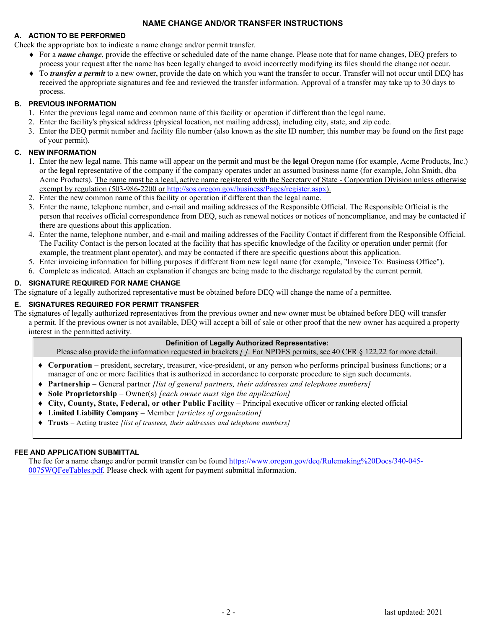# **NAME CHANGE AND/OR TRANSFER INSTRUCTIONS**

#### **A. ACTION TO BE PERFORMED**

Check the appropriate box to indicate a name change and/or permit transfer.

- ♦ For a *name change*, provide the effective or scheduled date of the name change. Please note that for name changes, DEQ prefers to process your request after the name has been legally changed to avoid incorrectly modifying its files should the change not occur.
- ♦ To *transfer a permit* to a new owner, provide the date on which you want the transfer to occur. Transfer will not occur until DEQ has received the appropriate signatures and fee and reviewed the transfer information. Approval of a transfer may take up to 30 days to process.

### **B. PREVIOUS INFORMATION**

- 1. Enter the previous legal name and common name of this facility or operation if different than the legal name.
- 2. Enter the facility's physical address (physical location, not mailing address), including city, state, and zip code.
- 3. Enter the DEQ permit number and facility file number (also known as the site ID number; this number may be found on the first page of your permit).

## **C. NEW INFORMATION**

- 1. Enter the new legal name. This name will appear on the permit and must be the **legal** Oregon name (for example, Acme Products, Inc.) or the **legal** representative of the company if the company operates under an assumed business name (for example, John Smith, dba Acme Products). The name must be a legal, active name registered with the Secretary of State - Corporation Division unless otherwise exempt by regulation (503-986-2200 or [http://sos.oregon.gov/business/Pages/register.aspx\)](http://sos.oregon.gov/business/Pages/register.aspx).
- 2. Enter the new common name of this facility or operation if different than the legal name.
- 3. Enter the name, telephone number, and e-mail and mailing addresses of the Responsible Official. The Responsible Official is the person that receives official correspondence from DEQ, such as renewal notices or notices of noncompliance, and may be contacted if there are questions about this application.
- 4. Enter the name, telephone number, and e-mail and mailing addresses of the Facility Contact if different from the Responsible Official. The Facility Contact is the person located at the facility that has specific knowledge of the facility or operation under permit (for example, the treatment plant operator), and may be contacted if there are specific questions about this application.
- 5. Enter invoicing information for billing purposes if different from new legal name (for example, "Invoice To: Business Office").
- 6. Complete as indicated. Attach an explanation if changes are being made to the discharge regulated by the current permit.

# **D. SIGNATURE REQUIRED FOR NAME CHANGE**

The signature of a legally authorized representative must be obtained before DEQ will change the name of a permittee.

# **E. SIGNATURES REQUIRED FOR PERMIT TRANSFER**

The signatures of legally authorized representatives from the previous owner and new owner must be obtained before DEQ will transfer a permit. If the previous owner is not available, DEQ will accept a bill of sale or other proof that the new owner has acquired a property interest in the permitted activity.

#### **Definition of Legally Authorized Representative:**

Please also provide the information requested in brackets *[ ]*. For NPDES permits, see 40 CFR § 122.22 for more detail.

- ♦ **Corporation** president, secretary, treasurer, vice-president, or any person who performs principal business functions; or a manager of one or more facilities that is authorized in accordance to corporate procedure to sign such documents.
- ♦ **Partnership** General partner *[list of general partners, their addresses and telephone numbers]*
- ♦ **Sole Proprietorship** Owner(s) *[each owner must sign the application]*
- ♦ **City, County, State, Federal, or other Public Facility** Principal executive officer or ranking elected official
- ♦ **Limited Liability Company** Member *[articles of organization]*
- ♦ **Trusts** Acting trustee *[list of trustees, their addresses and telephone numbers]*

### **FEE AND APPLICATION SUBMITTAL**

The fee for a name change and/or permit transfer can be foun[d https://www.oregon.gov/deq/Rulemaking%20Docs/340-045-](https://www.oregon.gov/deq/Rulemaking%20Docs/340-045-0075WQFeeTables.pdf) [0075WQFeeTables.pdf.](https://www.oregon.gov/deq/Rulemaking%20Docs/340-045-0075WQFeeTables.pdf) Please check with agent for payment submittal information.